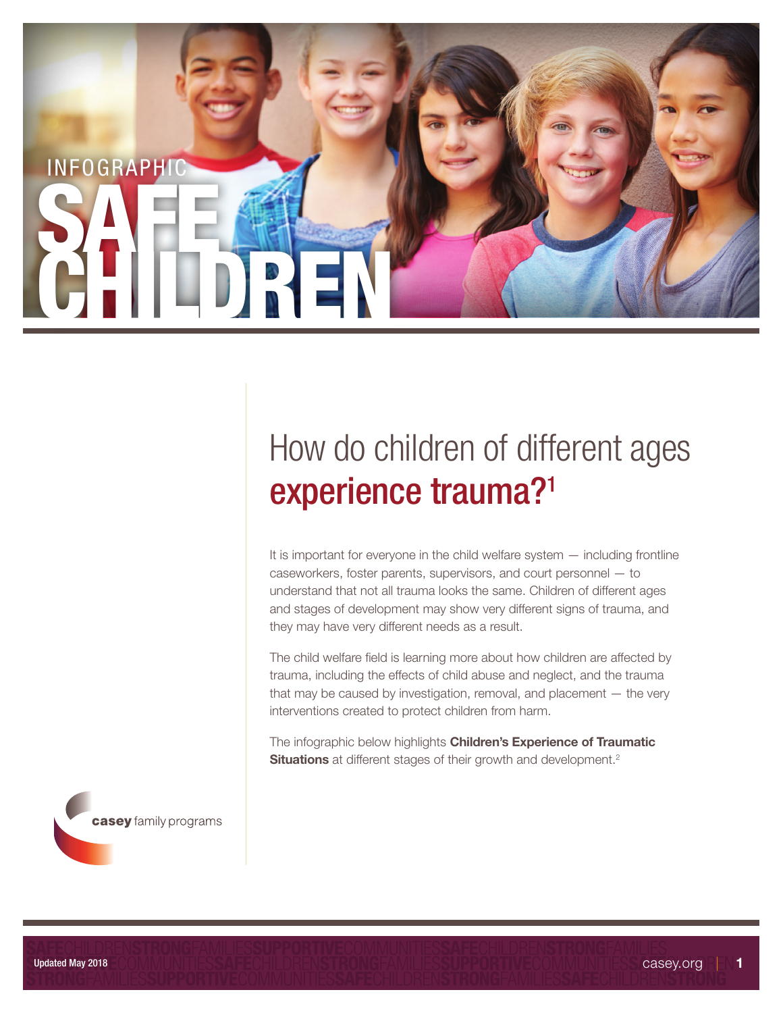

# How do children of different ages experience trauma?1

It is important for everyone in the child welfare system — including frontline caseworkers, foster parents, supervisors, and court personnel — to understand that not all trauma looks the same. Children of different ages and stages of development may show very different signs of trauma, and they may have very different needs as a result.

The child welfare field is learning more about how children are affected by trauma, including the effects of child abuse and neglect, and the trauma that may be caused by investigation, removal, and placement  $-$  the very interventions created to protect children from harm.

The infographic below highlights **Children's Experience of Traumatic** Situations at different stages of their growth and development.<sup>2</sup>